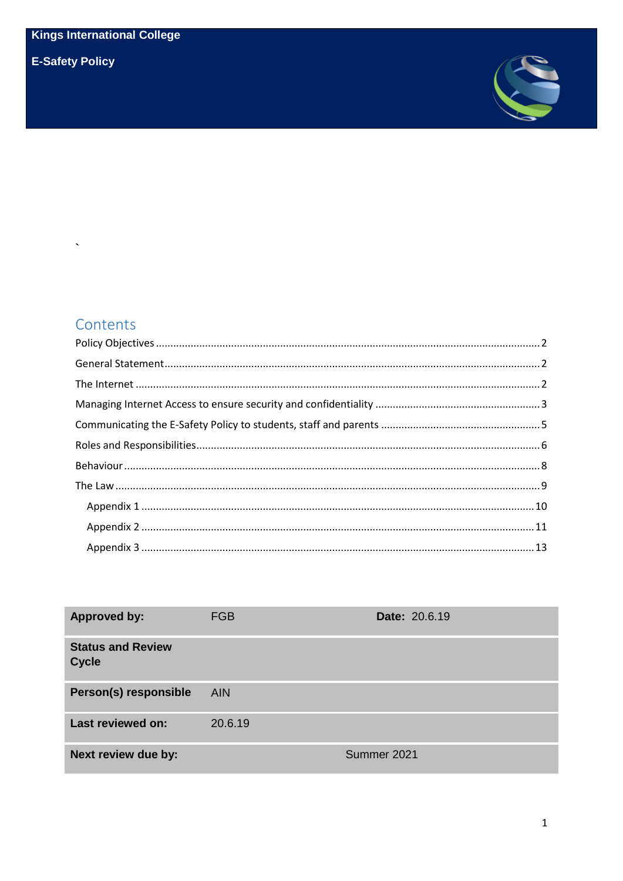**E-Safety Policy** 

 $\ddot{\phantom{1}}$ 



# Contents

| <b>Approved by:</b>                      | <b>FGB</b> | <b>Date: 20.6.19</b> |
|------------------------------------------|------------|----------------------|
| <b>Status and Review</b><br><b>Cycle</b> |            |                      |
| Person(s) responsible                    | <b>AIN</b> |                      |
| <b>Last reviewed on:</b>                 | 20.6.19    |                      |
| Next review due by:                      |            | Summer 2021          |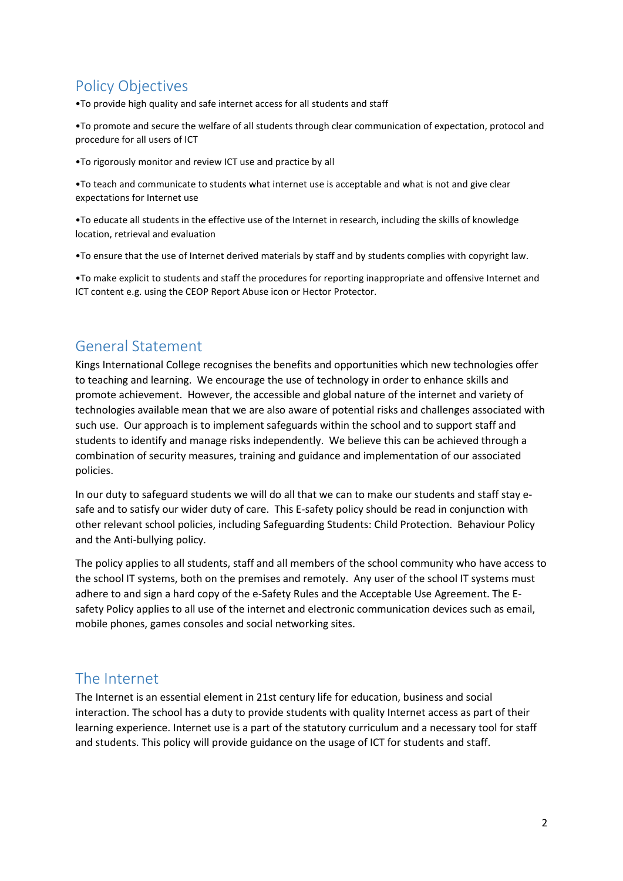# <span id="page-1-0"></span>Policy Objectives

•To provide high quality and safe internet access for all students and staff

•To promote and secure the welfare of all students through clear communication of expectation, protocol and procedure for all users of ICT

•To rigorously monitor and review ICT use and practice by all

•To teach and communicate to students what internet use is acceptable and what is not and give clear expectations for Internet use

•To educate all students in the effective use of the Internet in research, including the skills of knowledge location, retrieval and evaluation

•To ensure that the use of Internet derived materials by staff and by students complies with copyright law.

•To make explicit to students and staff the procedures for reporting inappropriate and offensive Internet and ICT content e.g. using the CEOP Report Abuse icon or Hector Protector.

## <span id="page-1-1"></span>General Statement

Kings International College recognises the benefits and opportunities which new technologies offer to teaching and learning. We encourage the use of technology in order to enhance skills and promote achievement. However, the accessible and global nature of the internet and variety of technologies available mean that we are also aware of potential risks and challenges associated with such use. Our approach is to implement safeguards within the school and to support staff and students to identify and manage risks independently. We believe this can be achieved through a combination of security measures, training and guidance and implementation of our associated policies.

In our duty to safeguard students we will do all that we can to make our students and staff stay esafe and to satisfy our wider duty of care. This E-safety policy should be read in conjunction with other relevant school policies, including Safeguarding Students: Child Protection. Behaviour Policy and the Anti-bullying policy.

The policy applies to all students, staff and all members of the school community who have access to the school IT systems, both on the premises and remotely. Any user of the school IT systems must adhere to and sign a hard copy of the e-Safety Rules and the Acceptable Use Agreement. The Esafety Policy applies to all use of the internet and electronic communication devices such as email, mobile phones, games consoles and social networking sites.

## <span id="page-1-2"></span>The Internet

The Internet is an essential element in 21st century life for education, business and social interaction. The school has a duty to provide students with quality Internet access as part of their learning experience. Internet use is a part of the statutory curriculum and a necessary tool for staff and students. This policy will provide guidance on the usage of ICT for students and staff.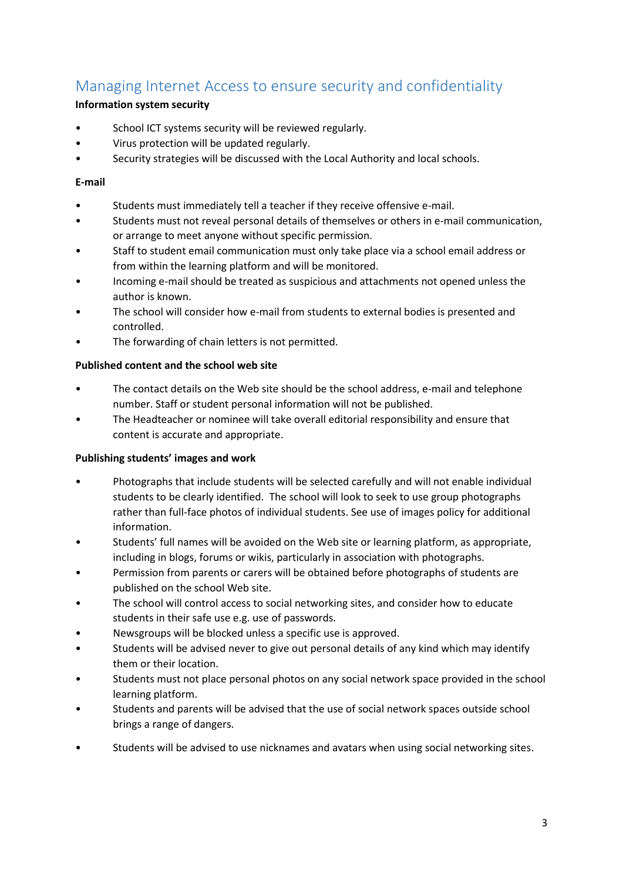# <span id="page-2-0"></span>Managing Internet Access to ensure security and confidentiality

### **Information system security**

- School ICT systems security will be reviewed regularly.
- Virus protection will be updated regularly.
- Security strategies will be discussed with the Local Authority and local schools.

#### **E-mail**

- Students must immediately tell a teacher if they receive offensive e-mail.
- Students must not reveal personal details of themselves or others in e-mail communication, or arrange to meet anyone without specific permission.
- Staff to student email communication must only take place via a school email address or from within the learning platform and will be monitored.
- Incoming e-mail should be treated as suspicious and attachments not opened unless the author is known.
- The school will consider how e-mail from students to external bodies is presented and controlled.
- The forwarding of chain letters is not permitted.

#### **Published content and the school web site**

- The contact details on the Web site should be the school address, e-mail and telephone number. Staff or student personal information will not be published.
- The Headteacher or nominee will take overall editorial responsibility and ensure that content is accurate and appropriate.

#### **Publishing students' images and work**

- Photographs that include students will be selected carefully and will not enable individual students to be clearly identified. The school will look to seek to use group photographs rather than full-face photos of individual students. See use of images policy for additional information.
- Students' full names will be avoided on the Web site or learning platform, as appropriate, including in blogs, forums or wikis, particularly in association with photographs.
- Permission from parents or carers will be obtained before photographs of students are published on the school Web site.
- The school will control access to social networking sites, and consider how to educate students in their safe use e.g. use of passwords.
- Newsgroups will be blocked unless a specific use is approved.
- Students will be advised never to give out personal details of any kind which may identify them or their location.
- Students must not place personal photos on any social network space provided in the school learning platform.
- Students and parents will be advised that the use of social network spaces outside school brings a range of dangers.
- Students will be advised to use nicknames and avatars when using social networking sites.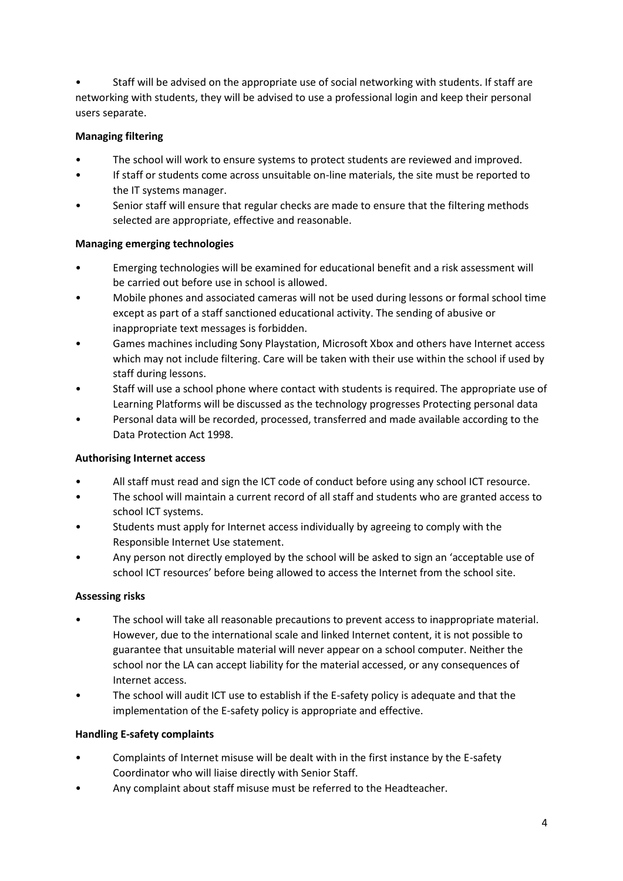• Staff will be advised on the appropriate use of social networking with students. If staff are networking with students, they will be advised to use a professional login and keep their personal users separate.

## **Managing filtering**

- The school will work to ensure systems to protect students are reviewed and improved.
- If staff or students come across unsuitable on-line materials, the site must be reported to the IT systems manager.
- Senior staff will ensure that regular checks are made to ensure that the filtering methods selected are appropriate, effective and reasonable.

## **Managing emerging technologies**

- Emerging technologies will be examined for educational benefit and a risk assessment will be carried out before use in school is allowed.
- Mobile phones and associated cameras will not be used during lessons or formal school time except as part of a staff sanctioned educational activity. The sending of abusive or inappropriate text messages is forbidden.
- Games machines including Sony Playstation, Microsoft Xbox and others have Internet access which may not include filtering. Care will be taken with their use within the school if used by staff during lessons.
- Staff will use a school phone where contact with students is required. The appropriate use of Learning Platforms will be discussed as the technology progresses Protecting personal data
- Personal data will be recorded, processed, transferred and made available according to the Data Protection Act 1998.

## **Authorising Internet access**

- All staff must read and sign the ICT code of conduct before using any school ICT resource.
- The school will maintain a current record of all staff and students who are granted access to school ICT systems.
- Students must apply for Internet access individually by agreeing to comply with the Responsible Internet Use statement.
- Any person not directly employed by the school will be asked to sign an 'acceptable use of school ICT resources' before being allowed to access the Internet from the school site.

## **Assessing risks**

- The school will take all reasonable precautions to prevent access to inappropriate material. However, due to the international scale and linked Internet content, it is not possible to guarantee that unsuitable material will never appear on a school computer. Neither the school nor the LA can accept liability for the material accessed, or any consequences of Internet access.
- The school will audit ICT use to establish if the E-safety policy is adequate and that the implementation of the E-safety policy is appropriate and effective.

## **Handling E-safety complaints**

- Complaints of Internet misuse will be dealt with in the first instance by the E-safety Coordinator who will liaise directly with Senior Staff.
- Any complaint about staff misuse must be referred to the Headteacher.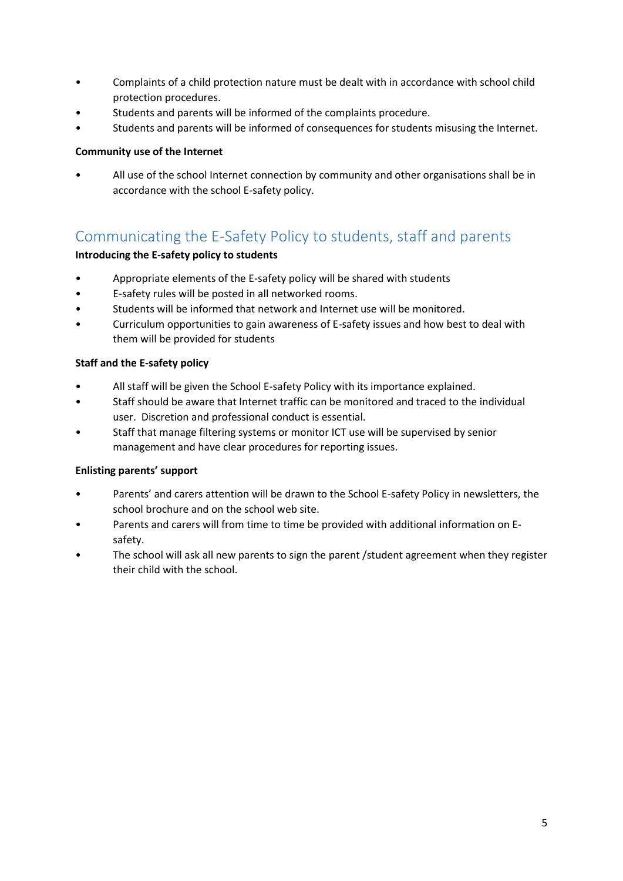- Complaints of a child protection nature must be dealt with in accordance with school child protection procedures.
- Students and parents will be informed of the complaints procedure.
- Students and parents will be informed of consequences for students misusing the Internet.

#### **Community use of the Internet**

• All use of the school Internet connection by community and other organisations shall be in accordance with the school E-safety policy.

## <span id="page-4-0"></span>Communicating the E-Safety Policy to students, staff and parents

#### **Introducing the E-safety policy to students**

- Appropriate elements of the E-safety policy will be shared with students
- E-safety rules will be posted in all networked rooms.
- Students will be informed that network and Internet use will be monitored.
- Curriculum opportunities to gain awareness of E-safety issues and how best to deal with them will be provided for students

#### **Staff and the E-safety policy**

- All staff will be given the School E-safety Policy with its importance explained.
- Staff should be aware that Internet traffic can be monitored and traced to the individual user. Discretion and professional conduct is essential.
- Staff that manage filtering systems or monitor ICT use will be supervised by senior management and have clear procedures for reporting issues.

#### **Enlisting parents' support**

- Parents' and carers attention will be drawn to the School E-safety Policy in newsletters, the school brochure and on the school web site.
- Parents and carers will from time to time be provided with additional information on Esafety.
- The school will ask all new parents to sign the parent /student agreement when they register their child with the school.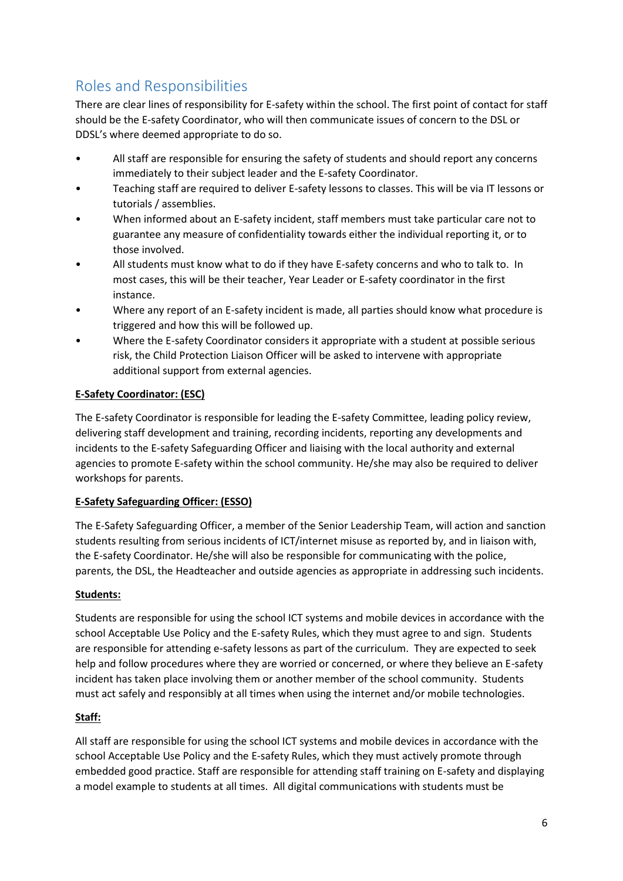# <span id="page-5-0"></span>Roles and Responsibilities

There are clear lines of responsibility for E-safety within the school. The first point of contact for staff should be the E-safety Coordinator, who will then communicate issues of concern to the DSL or DDSL's where deemed appropriate to do so.

- All staff are responsible for ensuring the safety of students and should report any concerns immediately to their subject leader and the E-safety Coordinator.
- Teaching staff are required to deliver E-safety lessons to classes. This will be via IT lessons or tutorials / assemblies.
- When informed about an E-safety incident, staff members must take particular care not to guarantee any measure of confidentiality towards either the individual reporting it, or to those involved.
- All students must know what to do if they have E-safety concerns and who to talk to. In most cases, this will be their teacher, Year Leader or E-safety coordinator in the first instance.
- Where any report of an E-safety incident is made, all parties should know what procedure is triggered and how this will be followed up.
- Where the E-safety Coordinator considers it appropriate with a student at possible serious risk, the Child Protection Liaison Officer will be asked to intervene with appropriate additional support from external agencies.

## **E-Safety Coordinator: (ESC)**

The E-safety Coordinator is responsible for leading the E-safety Committee, leading policy review, delivering staff development and training, recording incidents, reporting any developments and incidents to the E-safety Safeguarding Officer and liaising with the local authority and external agencies to promote E-safety within the school community. He/she may also be required to deliver workshops for parents.

## **E-Safety Safeguarding Officer: (ESSO)**

The E-Safety Safeguarding Officer, a member of the Senior Leadership Team, will action and sanction students resulting from serious incidents of ICT/internet misuse as reported by, and in liaison with, the E-safety Coordinator. He/she will also be responsible for communicating with the police, parents, the DSL, the Headteacher and outside agencies as appropriate in addressing such incidents.

## **Students:**

Students are responsible for using the school ICT systems and mobile devices in accordance with the school Acceptable Use Policy and the E-safety Rules, which they must agree to and sign. Students are responsible for attending e-safety lessons as part of the curriculum. They are expected to seek help and follow procedures where they are worried or concerned, or where they believe an E-safety incident has taken place involving them or another member of the school community. Students must act safely and responsibly at all times when using the internet and/or mobile technologies.

## **Staff:**

All staff are responsible for using the school ICT systems and mobile devices in accordance with the school Acceptable Use Policy and the E-safety Rules, which they must actively promote through embedded good practice. Staff are responsible for attending staff training on E-safety and displaying a model example to students at all times. All digital communications with students must be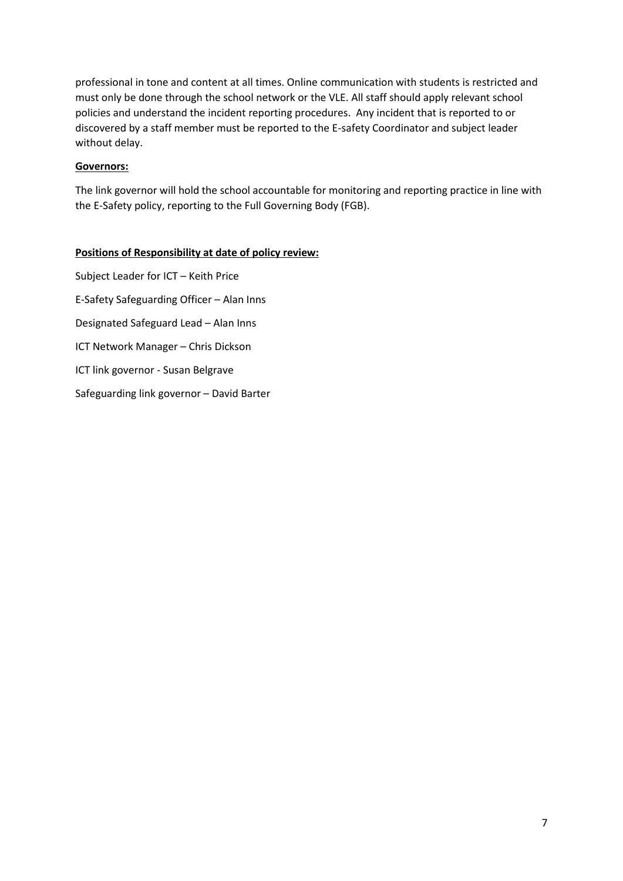professional in tone and content at all times. Online communication with students is restricted and must only be done through the school network or the VLE. All staff should apply relevant school policies and understand the incident reporting procedures. Any incident that is reported to or discovered by a staff member must be reported to the E-safety Coordinator and subject leader without delay.

#### **Governors:**

The link governor will hold the school accountable for monitoring and reporting practice in line with the E-Safety policy, reporting to the Full Governing Body (FGB).

#### **Positions of Responsibility at date of policy review:**

Subject Leader for ICT – Keith Price E-Safety Safeguarding Officer – Alan Inns Designated Safeguard Lead – Alan Inns ICT Network Manager – Chris Dickson ICT link governor - Susan Belgrave Safeguarding link governor – David Barter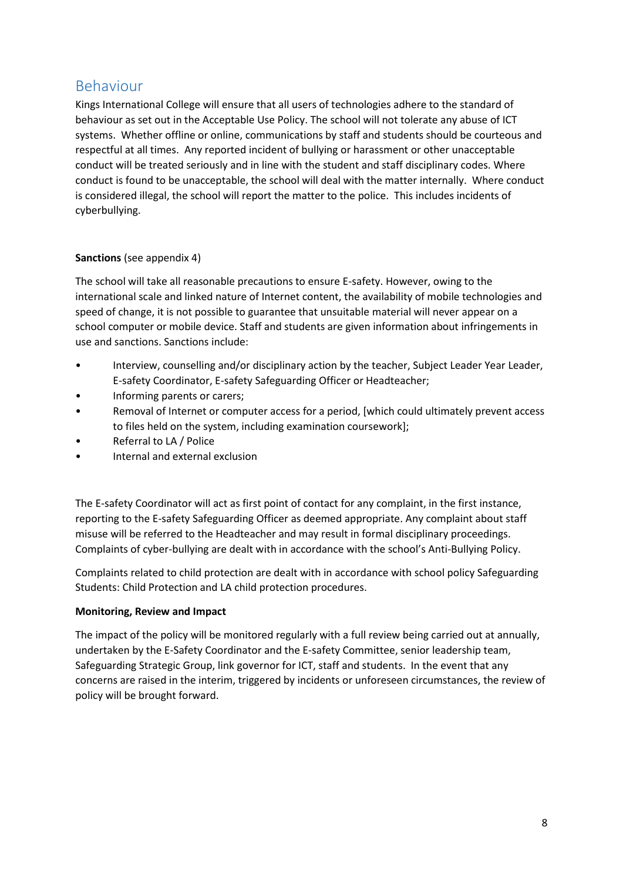## <span id="page-7-0"></span>Behaviour

Kings International College will ensure that all users of technologies adhere to the standard of behaviour as set out in the Acceptable Use Policy. The school will not tolerate any abuse of ICT systems. Whether offline or online, communications by staff and students should be courteous and respectful at all times. Any reported incident of bullying or harassment or other unacceptable conduct will be treated seriously and in line with the student and staff disciplinary codes. Where conduct is found to be unacceptable, the school will deal with the matter internally. Where conduct is considered illegal, the school will report the matter to the police. This includes incidents of cyberbullying.

#### **Sanctions** (see appendix 4)

The school will take all reasonable precautions to ensure E-safety. However, owing to the international scale and linked nature of Internet content, the availability of mobile technologies and speed of change, it is not possible to guarantee that unsuitable material will never appear on a school computer or mobile device. Staff and students are given information about infringements in use and sanctions. Sanctions include:

- Interview, counselling and/or disciplinary action by the teacher, Subject Leader Year Leader, E-safety Coordinator, E-safety Safeguarding Officer or Headteacher;
- Informing parents or carers;
- Removal of Internet or computer access for a period, [which could ultimately prevent access to files held on the system, including examination coursework];
- Referral to LA / Police
- Internal and external exclusion

The E-safety Coordinator will act as first point of contact for any complaint, in the first instance, reporting to the E-safety Safeguarding Officer as deemed appropriate. Any complaint about staff misuse will be referred to the Headteacher and may result in formal disciplinary proceedings. Complaints of cyber-bullying are dealt with in accordance with the school's Anti-Bullying Policy.

Complaints related to child protection are dealt with in accordance with school policy Safeguarding Students: Child Protection and LA child protection procedures.

#### **Monitoring, Review and Impact**

The impact of the policy will be monitored regularly with a full review being carried out at annually, undertaken by the E-Safety Coordinator and the E-safety Committee, senior leadership team, Safeguarding Strategic Group, link governor for ICT, staff and students. In the event that any concerns are raised in the interim, triggered by incidents or unforeseen circumstances, the review of policy will be brought forward.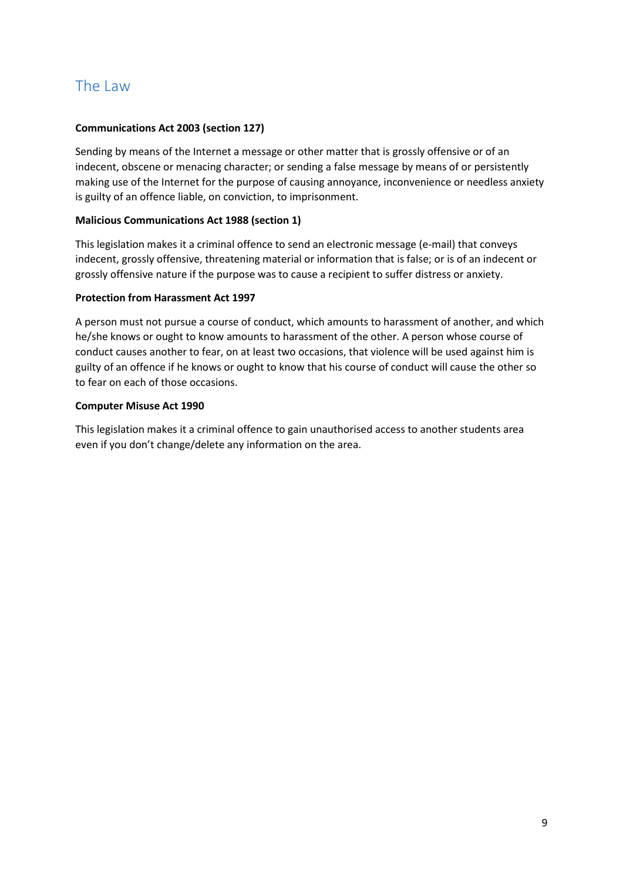## <span id="page-8-0"></span>The Law

#### **Communications Act 2003 (section 127)**

Sending by means of the Internet a message or other matter that is grossly offensive or of an indecent, obscene or menacing character; or sending a false message by means of or persistently making use of the Internet for the purpose of causing annoyance, inconvenience or needless anxiety is guilty of an offence liable, on conviction, to imprisonment.

#### **Malicious Communications Act 1988 (section 1)**

This legislation makes it a criminal offence to send an electronic message (e-mail) that conveys indecent, grossly offensive, threatening material or information that is false; or is of an indecent or grossly offensive nature if the purpose was to cause a recipient to suffer distress or anxiety.

#### **Protection from Harassment Act 1997**

A person must not pursue a course of conduct, which amounts to harassment of another, and which he/she knows or ought to know amounts to harassment of the other. A person whose course of conduct causes another to fear, on at least two occasions, that violence will be used against him is guilty of an offence if he knows or ought to know that his course of conduct will cause the other so to fear on each of those occasions.

#### **Computer Misuse Act 1990**

This legislation makes it a criminal offence to gain unauthorised access to another students area even if you don't change/delete any information on the area.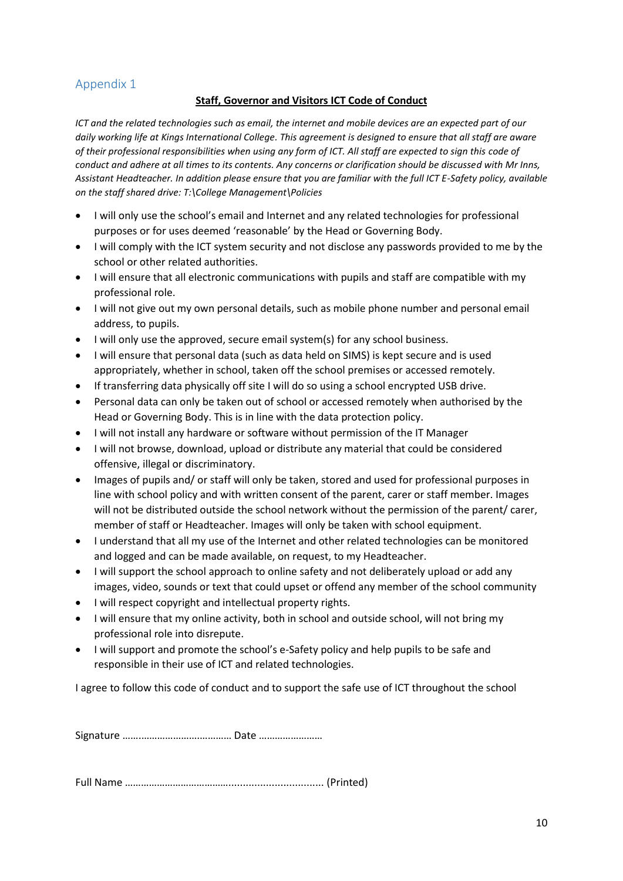#### **Staff, Governor and Visitors ICT Code of Conduct**

<span id="page-9-0"></span>*ICT and the related technologies such as email, the internet and mobile devices are an expected part of our daily working life at Kings International College. This agreement is designed to ensure that all staff are aware of their professional responsibilities when using any form of ICT. All staff are expected to sign this code of conduct and adhere at all times to its contents. Any concerns or clarification should be discussed with Mr Inns, Assistant Headteacher. In addition please ensure that you are familiar with the full ICT E-Safety policy, available on the staff shared drive: T:\College Management\Policies*

- I will only use the school's email and Internet and any related technologies for professional purposes or for uses deemed 'reasonable' by the Head or Governing Body.
- I will comply with the ICT system security and not disclose any passwords provided to me by the school or other related authorities.
- I will ensure that all electronic communications with pupils and staff are compatible with my professional role.
- I will not give out my own personal details, such as mobile phone number and personal email address, to pupils.
- I will only use the approved, secure email system(s) for any school business.
- I will ensure that personal data (such as data held on SIMS) is kept secure and is used appropriately, whether in school, taken off the school premises or accessed remotely.
- If transferring data physically off site I will do so using a school encrypted USB drive.
- Personal data can only be taken out of school or accessed remotely when authorised by the Head or Governing Body. This is in line with the data protection policy.
- I will not install any hardware or software without permission of the IT Manager
- I will not browse, download, upload or distribute any material that could be considered offensive, illegal or discriminatory.
- Images of pupils and/ or staff will only be taken, stored and used for professional purposes in line with school policy and with written consent of the parent, carer or staff member. Images will not be distributed outside the school network without the permission of the parent/ carer, member of staff or Headteacher. Images will only be taken with school equipment.
- I understand that all my use of the Internet and other related technologies can be monitored and logged and can be made available, on request, to my Headteacher.
- I will support the school approach to online safety and not deliberately upload or add any images, video, sounds or text that could upset or offend any member of the school community
- I will respect copyright and intellectual property rights.
- I will ensure that my online activity, both in school and outside school, will not bring my professional role into disrepute.
- I will support and promote the school's e-Safety policy and help pupils to be safe and responsible in their use of ICT and related technologies.

I agree to follow this code of conduct and to support the safe use of ICT throughout the school

Signature …….………………….………… Date ……………………

Full Name …………………………………................................. (Printed)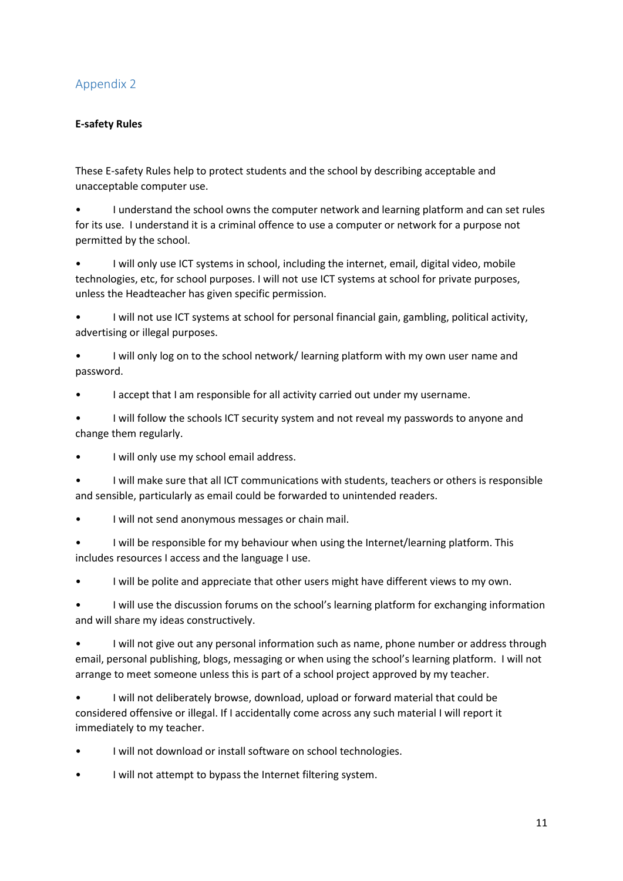#### <span id="page-10-0"></span>**E-safety Rules**

These E-safety Rules help to protect students and the school by describing acceptable and unacceptable computer use.

• I understand the school owns the computer network and learning platform and can set rules for its use. I understand it is a criminal offence to use a computer or network for a purpose not permitted by the school.

• I will only use ICT systems in school, including the internet, email, digital video, mobile technologies, etc, for school purposes. I will not use ICT systems at school for private purposes, unless the Headteacher has given specific permission.

• I will not use ICT systems at school for personal financial gain, gambling, political activity, advertising or illegal purposes.

I will only log on to the school network/ learning platform with my own user name and password.

I accept that I am responsible for all activity carried out under my username.

• I will follow the schools ICT security system and not reveal my passwords to anyone and change them regularly.

I will only use my school email address.

• I will make sure that all ICT communications with students, teachers or others is responsible and sensible, particularly as email could be forwarded to unintended readers.

I will not send anonymous messages or chain mail.

• I will be responsible for my behaviour when using the Internet/learning platform. This includes resources I access and the language I use.

I will be polite and appreciate that other users might have different views to my own.

• I will use the discussion forums on the school's learning platform for exchanging information and will share my ideas constructively.

• I will not give out any personal information such as name, phone number or address through email, personal publishing, blogs, messaging or when using the school's learning platform. I will not arrange to meet someone unless this is part of a school project approved by my teacher.

• I will not deliberately browse, download, upload or forward material that could be considered offensive or illegal. If I accidentally come across any such material I will report it immediately to my teacher.

- I will not download or install software on school technologies.
- I will not attempt to bypass the Internet filtering system.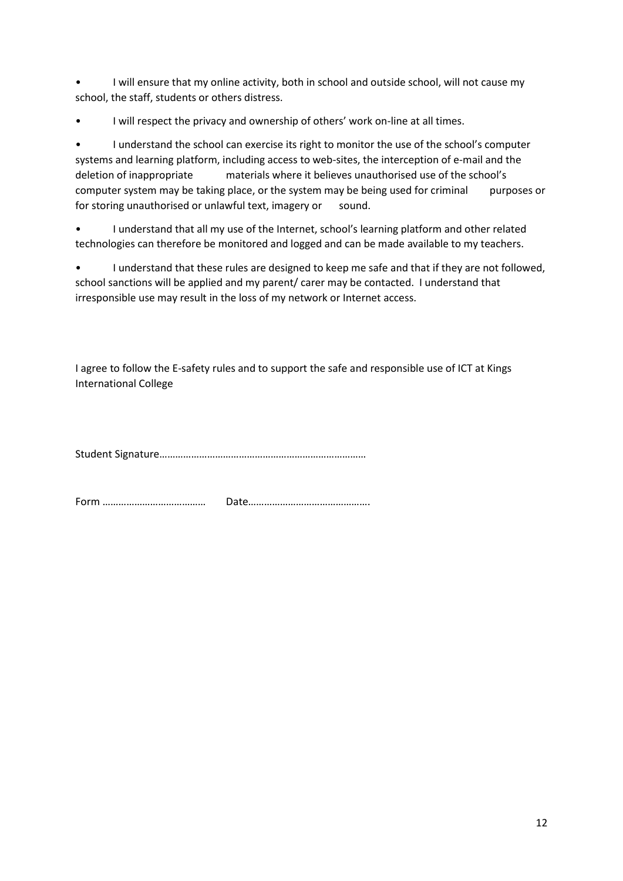• I will ensure that my online activity, both in school and outside school, will not cause my school, the staff, students or others distress.

I will respect the privacy and ownership of others' work on-line at all times.

• I understand the school can exercise its right to monitor the use of the school's computer systems and learning platform, including access to web-sites, the interception of e-mail and the deletion of inappropriate materials where it believes unauthorised use of the school's computer system may be taking place, or the system may be being used for criminal purposes or for storing unauthorised or unlawful text, imagery or sound.

• I understand that all my use of the Internet, school's learning platform and other related technologies can therefore be monitored and logged and can be made available to my teachers.

• I understand that these rules are designed to keep me safe and that if they are not followed, school sanctions will be applied and my parent/ carer may be contacted. I understand that irresponsible use may result in the loss of my network or Internet access.

I agree to follow the E-safety rules and to support the safe and responsible use of ICT at Kings International College

Student Signature……………………………………………………………………

Form ………………………………… Date……………………………………….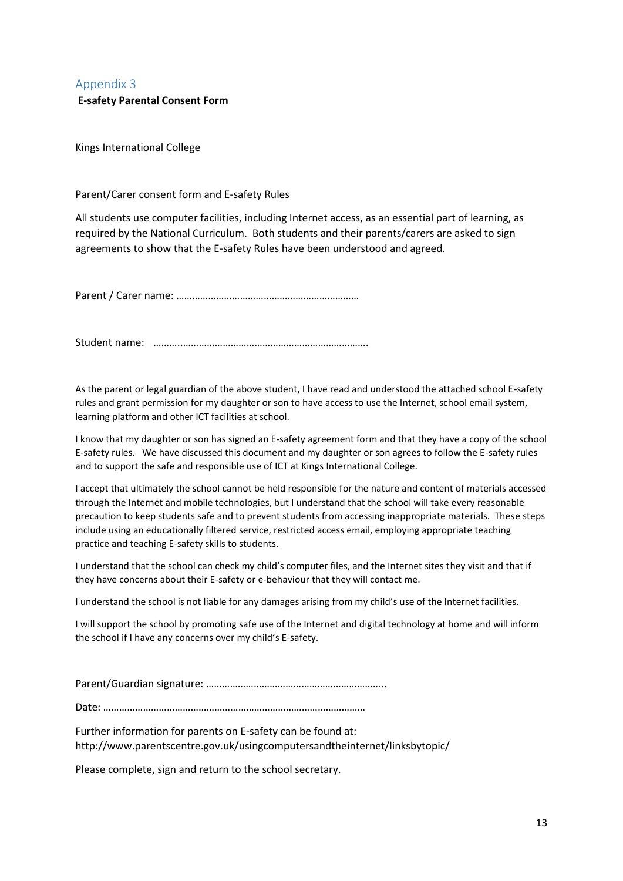#### <span id="page-12-0"></span>**E-safety Parental Consent Form**

Kings International College

Parent/Carer consent form and E-safety Rules

All students use computer facilities, including Internet access, as an essential part of learning, as required by the National Curriculum. Both students and their parents/carers are asked to sign agreements to show that the E-safety Rules have been understood and agreed.

Parent / Carer name: ……………………………………………………………

Student name: ………..…………………………………………………………….

As the parent or legal guardian of the above student, I have read and understood the attached school E-safety rules and grant permission for my daughter or son to have access to use the Internet, school email system, learning platform and other ICT facilities at school.

I know that my daughter or son has signed an E-safety agreement form and that they have a copy of the school E-safety rules. We have discussed this document and my daughter or son agrees to follow the E-safety rules and to support the safe and responsible use of ICT at Kings International College.

I accept that ultimately the school cannot be held responsible for the nature and content of materials accessed through the Internet and mobile technologies, but I understand that the school will take every reasonable precaution to keep students safe and to prevent students from accessing inappropriate materials. These steps include using an educationally filtered service, restricted access email, employing appropriate teaching practice and teaching E-safety skills to students.

I understand that the school can check my child's computer files, and the Internet sites they visit and that if they have concerns about their E-safety or e-behaviour that they will contact me.

I understand the school is not liable for any damages arising from my child's use of the Internet facilities.

I will support the school by promoting safe use of the Internet and digital technology at home and will inform the school if I have any concerns over my child's E-safety.

Parent/Guardian signature: …………………………………………………………..

Date: ………………………………………………………………………………………

Further information for parents on E-safety can be found at: http://www.parentscentre.gov.uk/usingcomputersandtheinternet/linksbytopic/

Please complete, sign and return to the school secretary.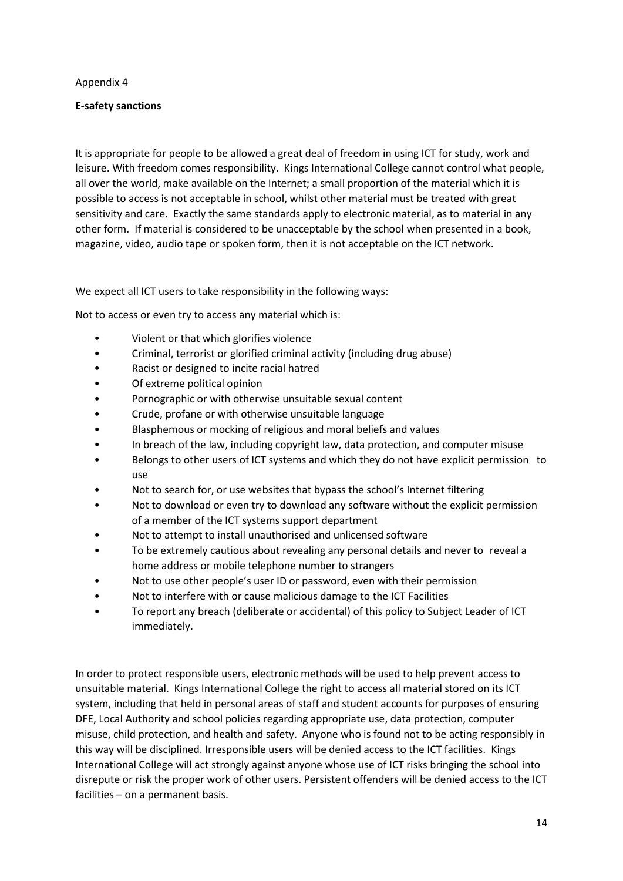#### **E-safety sanctions**

It is appropriate for people to be allowed a great deal of freedom in using ICT for study, work and leisure. With freedom comes responsibility. Kings International College cannot control what people, all over the world, make available on the Internet; a small proportion of the material which it is possible to access is not acceptable in school, whilst other material must be treated with great sensitivity and care. Exactly the same standards apply to electronic material, as to material in any other form. If material is considered to be unacceptable by the school when presented in a book, magazine, video, audio tape or spoken form, then it is not acceptable on the ICT network.

We expect all ICT users to take responsibility in the following ways:

Not to access or even try to access any material which is:

- Violent or that which glorifies violence
- Criminal, terrorist or glorified criminal activity (including drug abuse)
- Racist or designed to incite racial hatred
- Of extreme political opinion
- Pornographic or with otherwise unsuitable sexual content
- Crude, profane or with otherwise unsuitable language
- Blasphemous or mocking of religious and moral beliefs and values
- In breach of the law, including copyright law, data protection, and computer misuse
- Belongs to other users of ICT systems and which they do not have explicit permission to use
- Not to search for, or use websites that bypass the school's Internet filtering
- Not to download or even try to download any software without the explicit permission of a member of the ICT systems support department
- Not to attempt to install unauthorised and unlicensed software
- To be extremely cautious about revealing any personal details and never to reveal a home address or mobile telephone number to strangers
- Not to use other people's user ID or password, even with their permission
- Not to interfere with or cause malicious damage to the ICT Facilities
- To report any breach (deliberate or accidental) of this policy to Subject Leader of ICT immediately.

In order to protect responsible users, electronic methods will be used to help prevent access to unsuitable material. Kings International College the right to access all material stored on its ICT system, including that held in personal areas of staff and student accounts for purposes of ensuring DFE, Local Authority and school policies regarding appropriate use, data protection, computer misuse, child protection, and health and safety. Anyone who is found not to be acting responsibly in this way will be disciplined. Irresponsible users will be denied access to the ICT facilities. Kings International College will act strongly against anyone whose use of ICT risks bringing the school into disrepute or risk the proper work of other users. Persistent offenders will be denied access to the ICT facilities – on a permanent basis.